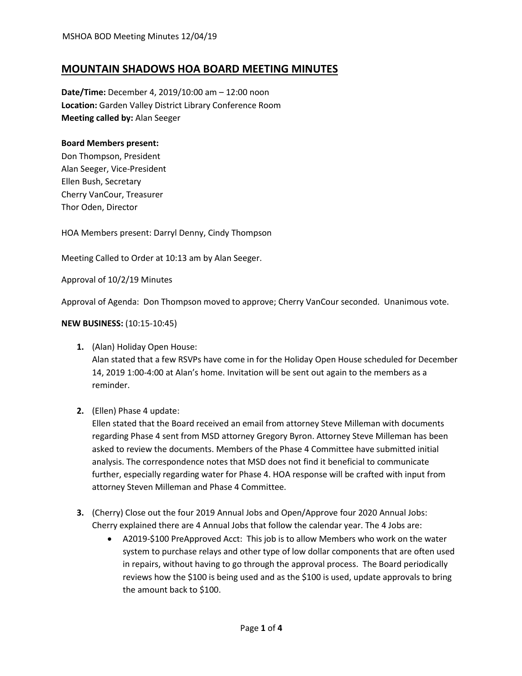# **MOUNTAIN SHADOWS HOA BOARD MEETING MINUTES**

**Date/Time:** December 4, 2019/10:00 am – 12:00 noon **Location:** Garden Valley District Library Conference Room **Meeting called by:** Alan Seeger

### **Board Members present:**

Don Thompson, President Alan Seeger, Vice-President Ellen Bush, Secretary Cherry VanCour, Treasurer Thor Oden, Director

HOA Members present: Darryl Denny, Cindy Thompson

Meeting Called to Order at 10:13 am by Alan Seeger.

Approval of 10/2/19 Minutes

Approval of Agenda: Don Thompson moved to approve; Cherry VanCour seconded. Unanimous vote.

### **NEW BUSINESS:** (10:15-10:45)

**1.** (Alan) Holiday Open House:

Alan stated that a few RSVPs have come in for the Holiday Open House scheduled for December 14, 2019 1:00-4:00 at Alan's home. Invitation will be sent out again to the members as a reminder.

**2.** (Ellen) Phase 4 update:

Ellen stated that the Board received an email from attorney Steve Milleman with documents regarding Phase 4 sent from MSD attorney Gregory Byron. Attorney Steve Milleman has been asked to review the documents. Members of the Phase 4 Committee have submitted initial analysis. The correspondence notes that MSD does not find it beneficial to communicate further, especially regarding water for Phase 4. HOA response will be crafted with input from attorney Steven Milleman and Phase 4 Committee.

- **3.** (Cherry) Close out the four 2019 Annual Jobs and Open/Approve four 2020 Annual Jobs: Cherry explained there are 4 Annual Jobs that follow the calendar year. The 4 Jobs are:
	- A2019-\$100 PreApproved Acct: This job is to allow Members who work on the water system to purchase relays and other type of low dollar components that are often used in repairs, without having to go through the approval process. The Board periodically reviews how the \$100 is being used and as the \$100 is used, update approvals to bring the amount back to \$100.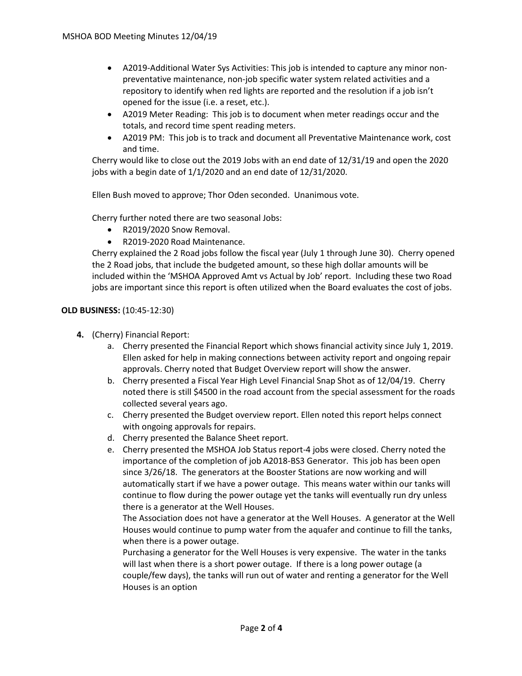- A2019-Additional Water Sys Activities: This job is intended to capture any minor nonpreventative maintenance, non-job specific water system related activities and a repository to identify when red lights are reported and the resolution if a job isn't opened for the issue (i.e. a reset, etc.).
- A2019 Meter Reading: This job is to document when meter readings occur and the totals, and record time spent reading meters.
- A2019 PM: This job is to track and document all Preventative Maintenance work, cost and time.

Cherry would like to close out the 2019 Jobs with an end date of 12/31/19 and open the 2020 jobs with a begin date of 1/1/2020 and an end date of 12/31/2020.

Ellen Bush moved to approve; Thor Oden seconded. Unanimous vote.

Cherry further noted there are two seasonal Jobs:

- R2019/2020 Snow Removal.
- R2019-2020 Road Maintenance.

Cherry explained the 2 Road jobs follow the fiscal year (July 1 through June 30). Cherry opened the 2 Road jobs, that include the budgeted amount, so these high dollar amounts will be included within the 'MSHOA Approved Amt vs Actual by Job' report. Including these two Road jobs are important since this report is often utilized when the Board evaluates the cost of jobs.

#### **OLD BUSINESS:** (10:45-12:30)

- **4.** (Cherry) Financial Report:
	- a. Cherry presented the Financial Report which shows financial activity since July 1, 2019. Ellen asked for help in making connections between activity report and ongoing repair approvals. Cherry noted that Budget Overview report will show the answer.
	- b. Cherry presented a Fiscal Year High Level Financial Snap Shot as of 12/04/19. Cherry noted there is still \$4500 in the road account from the special assessment for the roads collected several years ago.
	- c. Cherry presented the Budget overview report. Ellen noted this report helps connect with ongoing approvals for repairs.
	- d. Cherry presented the Balance Sheet report.
	- e. Cherry presented the MSHOA Job Status report-4 jobs were closed. Cherry noted the importance of the completion of job A2018-BS3 Generator. This job has been open since 3/26/18. The generators at the Booster Stations are now working and will automatically start if we have a power outage. This means water within our tanks will continue to flow during the power outage yet the tanks will eventually run dry unless there is a generator at the Well Houses.

The Association does not have a generator at the Well Houses. A generator at the Well Houses would continue to pump water from the aquafer and continue to fill the tanks, when there is a power outage.

Purchasing a generator for the Well Houses is very expensive. The water in the tanks will last when there is a short power outage. If there is a long power outage (a couple/few days), the tanks will run out of water and renting a generator for the Well Houses is an option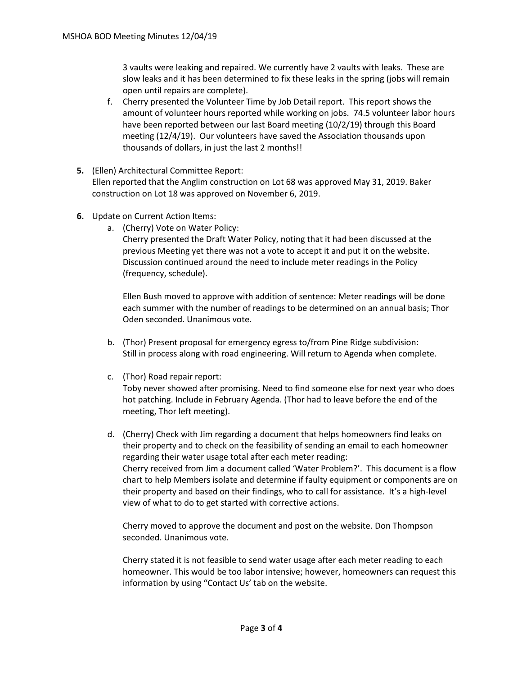3 vaults were leaking and repaired. We currently have 2 vaults with leaks. These are slow leaks and it has been determined to fix these leaks in the spring (jobs will remain open until repairs are complete).

- f. Cherry presented the Volunteer Time by Job Detail report. This report shows the amount of volunteer hours reported while working on jobs. 74.5 volunteer labor hours have been reported between our last Board meeting (10/2/19) through this Board meeting (12/4/19). Our volunteers have saved the Association thousands upon thousands of dollars, in just the last 2 months!!
- **5.** (Ellen) Architectural Committee Report:

Ellen reported that the Anglim construction on Lot 68 was approved May 31, 2019. Baker construction on Lot 18 was approved on November 6, 2019.

- **6.** Update on Current Action Items:
	- a. (Cherry) Vote on Water Policy:

Cherry presented the Draft Water Policy, noting that it had been discussed at the previous Meeting yet there was not a vote to accept it and put it on the website. Discussion continued around the need to include meter readings in the Policy (frequency, schedule).

Ellen Bush moved to approve with addition of sentence: Meter readings will be done each summer with the number of readings to be determined on an annual basis; Thor Oden seconded. Unanimous vote.

- b. (Thor) Present proposal for emergency egress to/from Pine Ridge subdivision: Still in process along with road engineering. Will return to Agenda when complete.
- c. (Thor) Road repair report:

Toby never showed after promising. Need to find someone else for next year who does hot patching. Include in February Agenda. (Thor had to leave before the end of the meeting, Thor left meeting).

d. (Cherry) Check with Jim regarding a document that helps homeowners find leaks on their property and to check on the feasibility of sending an email to each homeowner regarding their water usage total after each meter reading: Cherry received from Jim a document called 'Water Problem?'. This document is a flow chart to help Members isolate and determine if faulty equipment or components are on their property and based on their findings, who to call for assistance. It's a high-level view of what to do to get started with corrective actions.

Cherry moved to approve the document and post on the website. Don Thompson seconded. Unanimous vote.

Cherry stated it is not feasible to send water usage after each meter reading to each homeowner. This would be too labor intensive; however, homeowners can request this information by using "Contact Us' tab on the website.